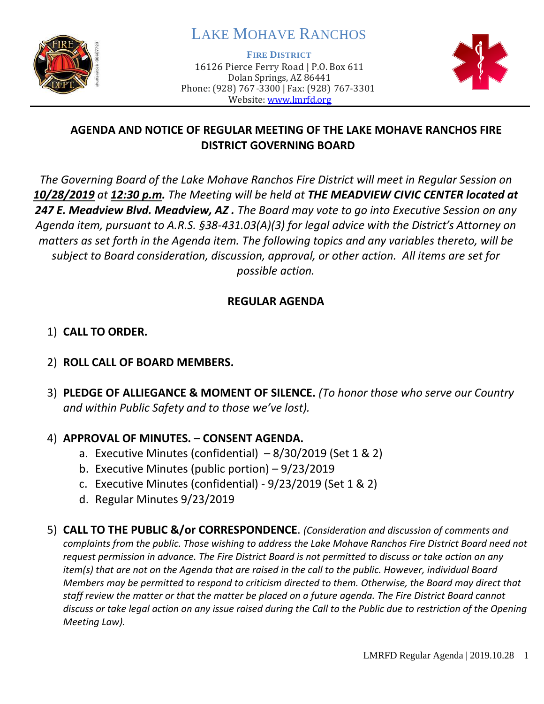

# LAKE MOHAVE RANCHOS

**FIRE DISTRICT**

16126 Pierce Ferry Road | P.O. Box 611 Dolan Springs, AZ 86441 Phone: (928) 767-3300 | Fax: (928) 767-3301 Website: [www.lmrfd.org](http://www.lmrfd.org/)



# **AGENDA AND NOTICE OF REGULAR MEETING OF THE LAKE MOHAVE RANCHOS FIRE DISTRICT GOVERNING BOARD**

*The Governing Board of the Lake Mohave Ranchos Fire District will meet in Regular Session on 10/28/2019 at 12:30 p.m. The Meeting will be held at THE MEADVIEW CIVIC CENTER located at 247 E. Meadview Blvd. Meadview, AZ . The Board may vote to go into Executive Session on any Agenda item, pursuant to A.R.S. §38-431.03(A)(3) for legal advice with the District's Attorney on matters as set forth in the Agenda item. The following topics and any variables thereto, will be subject to Board consideration, discussion, approval, or other action. All items are set for possible action.* 

## **REGULAR AGENDA**

## 1) **CALL TO ORDER.**

- 2) **ROLL CALL OF BOARD MEMBERS.**
- 3) **PLEDGE OF ALLIEGANCE & MOMENT OF SILENCE.** *(To honor those who serve our Country and within Public Safety and to those we've lost).*

## 4) **APPROVAL OF MINUTES. – CONSENT AGENDA.**

- a. Executive Minutes (confidential)  $-8/30/2019$  (Set 1 & 2)
- b. Executive Minutes (public portion) 9/23/2019
- c. Executive Minutes (confidential) 9/23/2019 (Set 1 & 2)
- d. Regular Minutes 9/23/2019

5) **CALL TO THE PUBLIC &/or CORRESPONDENCE**. *(Consideration and discussion of comments and complaints from the public. Those wishing to address the Lake Mohave Ranchos Fire District Board need not request permission in advance. The Fire District Board is not permitted to discuss or take action on any item(s) that are not on the Agenda that are raised in the call to the public. However, individual Board Members may be permitted to respond to criticism directed to them. Otherwise, the Board may direct that staff review the matter or that the matter be placed on a future agenda. The Fire District Board cannot discuss or take legal action on any issue raised during the Call to the Public due to restriction of the Opening Meeting Law).*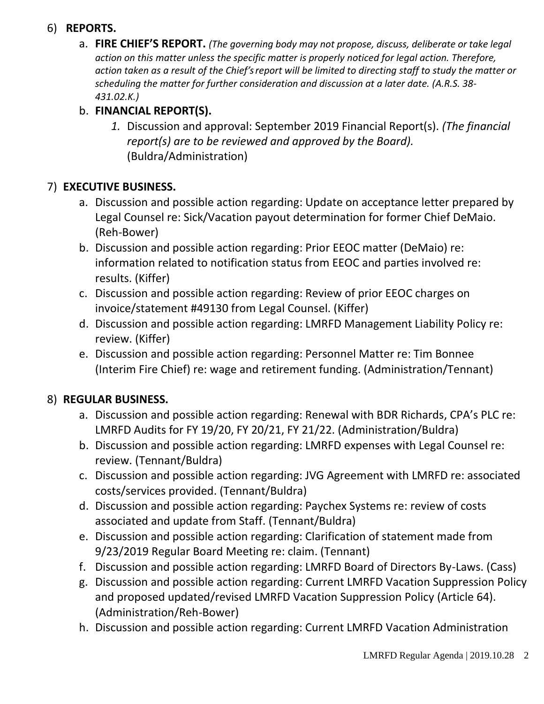## 6) **REPORTS.**

a. **FIRE CHIEF'S REPORT.** *(The governing body may not propose, discuss, deliberate or take legal action on this matter unless the specific matter is properly noticed for legal action. Therefore, action taken as a result of the Chief's report will be limited to directing staff to study the matter or scheduling the matter for further consideration and discussion at a later date. (A.R.S. 38- 431.02.K.)*

## b. **FINANCIAL REPORT(S).**

*1.* Discussion and approval: September 2019 Financial Report(s). *(The financial report(s) are to be reviewed and approved by the Board).* (Buldra/Administration)

## 7) **EXECUTIVE BUSINESS.**

- a. Discussion and possible action regarding: Update on acceptance letter prepared by Legal Counsel re: Sick/Vacation payout determination for former Chief DeMaio. (Reh-Bower)
- b. Discussion and possible action regarding: Prior EEOC matter (DeMaio) re: information related to notification status from EEOC and parties involved re: results. (Kiffer)
- c. Discussion and possible action regarding: Review of prior EEOC charges on invoice/statement #49130 from Legal Counsel. (Kiffer)
- d. Discussion and possible action regarding: LMRFD Management Liability Policy re: review. (Kiffer)
- e. Discussion and possible action regarding: Personnel Matter re: Tim Bonnee (Interim Fire Chief) re: wage and retirement funding. (Administration/Tennant)

## 8) **REGULAR BUSINESS.**

- a. Discussion and possible action regarding: Renewal with BDR Richards, CPA's PLC re: LMRFD Audits for FY 19/20, FY 20/21, FY 21/22. (Administration/Buldra)
- b. Discussion and possible action regarding: LMRFD expenses with Legal Counsel re: review. (Tennant/Buldra)
- c. Discussion and possible action regarding: JVG Agreement with LMRFD re: associated costs/services provided. (Tennant/Buldra)
- d. Discussion and possible action regarding: Paychex Systems re: review of costs associated and update from Staff. (Tennant/Buldra)
- e. Discussion and possible action regarding: Clarification of statement made from 9/23/2019 Regular Board Meeting re: claim. (Tennant)
- f. Discussion and possible action regarding: LMRFD Board of Directors By-Laws. (Cass)
- g. Discussion and possible action regarding: Current LMRFD Vacation Suppression Policy and proposed updated/revised LMRFD Vacation Suppression Policy (Article 64). (Administration/Reh-Bower)
- h. Discussion and possible action regarding: Current LMRFD Vacation Administration